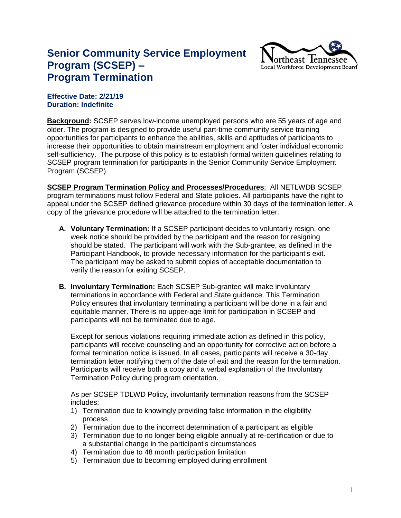## **Senior Community Service Employment Program (SCSEP) – Program Termination**



## **Effective Date: 2/21/19 Duration: Indefinite**

**Background:** SCSEP serves low-income unemployed persons who are 55 years of age and older. The program is designed to provide useful part-time community service training opportunities for participants to enhance the abilities, skills and aptitudes of participants to increase their opportunities to obtain mainstream employment and foster individual economic self-sufficiency. The purpose of this policy is to establish formal written guidelines relating to SCSEP program termination for participants in the Senior Community Service Employment Program (SCSEP).

**SCSEP Program Termination Policy and Processes/Procedures**: All NETLWDB SCSEP program terminations must follow Federal and State policies. All participants have the right to appeal under the SCSEP defined grievance procedure within 30 days of the termination letter. A copy of the grievance procedure will be attached to the termination letter.

- **A. Voluntary Termination:** If a SCSEP participant decides to voluntarily resign, one week notice should be provided by the participant and the reason for resigning should be stated. The participant will work with the Sub-grantee, as defined in the Participant Handbook, to provide necessary information for the participant's exit. The participant may be asked to submit copies of acceptable documentation to verify the reason for exiting SCSEP.
- **B. Involuntary Termination:** Each SCSEP Sub-grantee will make involuntary terminations in accordance with Federal and State guidance. This Termination Policy ensures that involuntary terminating a participant will be done in a fair and equitable manner. There is no upper-age limit for participation in SCSEP and participants will not be terminated due to age.

Except for serious violations requiring immediate action as defined in this policy, participants will receive counseling and an opportunity for corrective action before a formal termination notice is issued. In all cases, participants will receive a 30-day termination letter notifying them of the date of exit and the reason for the termination. Participants will receive both a copy and a verbal explanation of the Involuntary Termination Policy during program orientation.

As per SCSEP TDLWD Policy, involuntarily termination reasons from the SCSEP includes:

- 1) Termination due to knowingly providing false information in the eligibility process
- 2) Termination due to the incorrect determination of a participant as eligible
- 3) Termination due to no longer being eligible annually at re-certification or due to a substantial change in the participant's circumstances
- 4) Termination due to 48 month participation limitation
- 5) Termination due to becoming employed during enrollment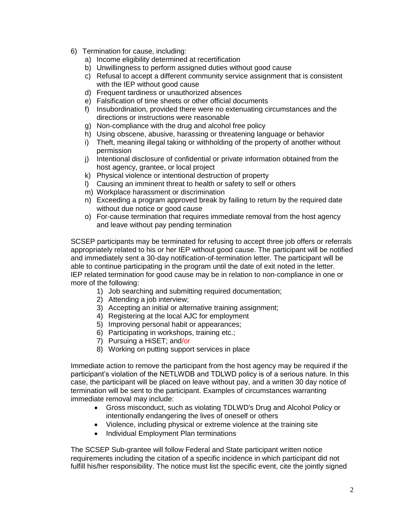- 6) Termination for cause, including:
	- a) Income eligibility determined at recertification
	- b) Unwillingness to perform assigned duties without good cause
	- c) Refusal to accept a different community service assignment that is consistent with the IEP without good cause
	- d) Frequent tardiness or unauthorized absences
	- e) Falsification of time sheets or other official documents
	- f) Insubordination, provided there were no extenuating circumstances and the directions or instructions were reasonable
	- g) Non-compliance with the drug and alcohol free policy
	- h) Using obscene, abusive, harassing or threatening language or behavior
	- i) Theft, meaning illegal taking or withholding of the property of another without permission
	- j) Intentional disclosure of confidential or private information obtained from the host agency, grantee, or local project
	- k) Physical violence or intentional destruction of property
	- l) Causing an imminent threat to health or safety to self or others
	- m) Workplace harassment or discrimination
	- n) Exceeding a program approved break by failing to return by the required date without due notice or good cause
	- o) For-cause termination that requires immediate removal from the host agency and leave without pay pending termination

SCSEP participants may be terminated for refusing to accept three job offers or referrals appropriately related to his or her IEP without good cause. The participant will be notified and immediately sent a 30-day notification-of-termination letter. The participant will be able to continue participating in the program until the date of exit noted in the letter. IEP related termination for good cause may be in relation to non-compliance in one or more of the following:

- 1) Job searching and submitting required documentation;
- 2) Attending a job interview;
- 3) Accepting an initial or alternative training assignment;
- 4) Registering at the local AJC for employment
- 5) Improving personal habit or appearances;
- 6) Participating in workshops, training etc.;
- 7) Pursuing a HiSET; and/or
- 8) Working on putting support services in place

Immediate action to remove the participant from the host agency may be required if the participant's violation of the NETLWDB and TDLWD policy is of a serious nature. In this case, the participant will be placed on leave without pay, and a written 30 day notice of termination will be sent to the participant. Examples of circumstances warranting immediate removal may include:

- Gross misconduct, such as violating TDLWD's Drug and Alcohol Policy or intentionally endangering the lives of oneself or others
- Violence, including physical or extreme violence at the training site
- Individual Employment Plan terminations

The SCSEP Sub-grantee will follow Federal and State participant written notice requirements including the citation of a specific incidence in which participant did not fulfill his/her responsibility. The notice must list the specific event, cite the jointly signed